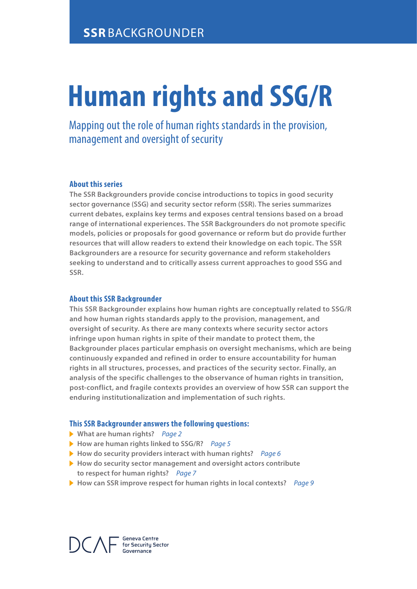# **Human rights and SSG/R**

Mapping out the role of human rights standards in the provision, management and oversight of security

# **About this series**

**The SSR Backgrounders provide concise introductions to topics in good security sector governance (SSG) and security sector reform (SSR). The series summarizes current debates, explains key terms and exposes central tensions based on a broad range of international experiences. The SSR Backgrounders do not promote specific models, policies or proposals for good governance or reform but do provide further resources that will allow readers to extend their knowledge on each topic. The SSR Backgrounders are a resource for security governance and reform stakeholders seeking to understand and to critically assess current approaches to good SSG and SSR.**

#### **About this SSR Backgrounder**

**This SSR Backgrounder explains how human rights are conceptually related to SSG/R and how human rights standards apply to the provision, management, and oversight of security. As there are many contexts where security sector actors infringe upon human rights in spite of their mandate to protect them, the Backgrounder places particular emphasis on oversight mechanisms, which are being continuously expanded and refined in order to ensure accountability for human rights in all structures, processes, and practices of the security sector. Finally, an analysis of the specific challenges to the observance of human rights in transition, post-conflict, and fragile contexts provides an overview of how SSR can support the enduring institutionalization and implementation of such rights.** 

#### **This SSR Backgrounder answers the following questions:**

- **What are human rights?** *Page 2*
- **How are human rights linked to SSG/R?** *Page 5*
- **How do security providers interact with human rights?** *Page 6*
- **How do security sector management and oversight actors contribute to respect for human rights?** *Page 7*
- **How can SSR improve respect for human rights in local contexts?** *Page 9*

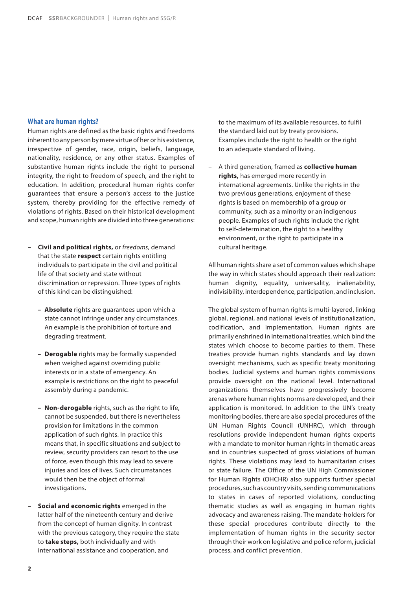#### **What are human rights?**

Human rights are defined as the basic rights and freedoms inherent to any person by mere virtue of her or his existence, irrespective of gender, race, origin, beliefs, language, nationality, residence, or any other status. Examples of substantive human rights include the right to personal integrity, the right to freedom of speech, and the right to education. In addition, procedural human rights confer guarantees that ensure a person's access to the justice system, thereby providing for the effective remedy of violations of rights. Based on their historical development and scope, human rights are divided into three generations:

- **Civil and political rights,** or *freedoms,* demand that the state **respect** certain rights entitling individuals to participate in the civil and political life of that society and state without discrimination or repression. Three types of rights of this kind can be distinguished:
	- **Absolute** rights are guarantees upon which a state cannot infringe under any circumstances. An example is the prohibition of torture and degrading treatment.
	- **Derogable** rights may be formally suspended when weighed against overriding public interests or in a state of emergency. An example is restrictions on the right to peaceful assembly during a pandemic.
	- **Non-derogable** rights, such as the right to life, cannot be suspended, but there is nevertheless provision for limitations in the common application of such rights. In practice this means that, in specific situations and subject to review, security providers can resort to the use of force, even though this may lead to severe injuries and loss of lives. Such circumstances would then be the object of formal investigations.
- **Social and economic rights** emerged in the latter half of the nineteenth century and derive from the concept of human dignity. In contrast with the previous category, they require the state to **take steps,** both individually and with international assistance and cooperation, and

to the maximum of its available resources, to fulfil the standard laid out by treaty provisions. Examples include the right to health or the right to an adequate standard of living.

–A third generation, framed as **collective human rights,** has emerged more recently in international agreements. Unlike the rights in the two previous generations, enjoyment of these rights is based on membership of a group or community, such as a minority or an indigenous people. Examples of such rights include the right to self-determination, the right to a healthy environment, or the right to participate in a cultural heritage.

All human rights share a set of common values which shape the way in which states should approach their realization: human dignity, equality, universality, inalienability, indivisibility, interdependence, participation, and inclusion.

The global system of human rights is multi-layered, linking global, regional, and national levels of institutionalization, codification, and implementation. Human rights are primarily enshrined in international treaties, which bind the states which choose to become parties to them. These treaties provide human rights standards and lay down oversight mechanisms, such as specific treaty monitoring bodies. Judicial systems and human rights commissions provide oversight on the national level. International organizations themselves have progressively become arenas where human rights norms are developed, and their application is monitored. In addition to the UN's treaty monitoring bodies, there are also special procedures of the UN Human Rights Council (UNHRC), which through resolutions provide independent human rights experts with a mandate to monitor human rights in thematic areas and in countries suspected of gross violations of human rights. These violations may lead to humanitarian crises or state failure. The Office of the UN High Commissioner for Human Rights (OHCHR) also supports further special procedures, such as country visits, sending communications to states in cases of reported violations, conducting thematic studies as well as engaging in human rights advocacy and awareness raising. The mandate-holders for these special procedures contribute directly to the implementation of human rights in the security sector through their work on legislative and police reform, judicial process, and conflict prevention.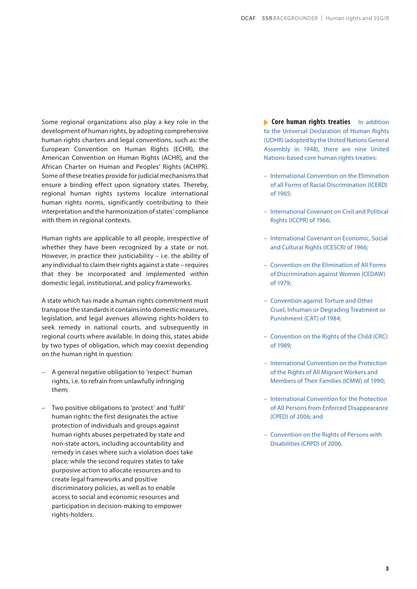Some regional organizations also play a key role in the development of human rights, by adopting comprehensive human rights charters and legal conventions, such as: the European Convention on Human Rights (ECHR), the American Convention on Human Rights (ACHR), and the African Charter on Human and Peoples' Rights (ACHPR). Some of these treaties provide for judicial mechanisms that ensure a binding effect upon signatory states. Thereby, regional human rights systems localize international human rights norms, significantly contributing to their interpretation and the harmonization of states' compliance with them in regional contexts.

Human rights are applicable to all people, irrespective of whether they have been recognized by a state or not. However, in practice their justiciability – i.e. the ability of any individual to claim their rights against a state – requires that they be incorporated and implemented within domestic legal, institutional, and policy frameworks.

A state which has made a human rights commitment must transpose the standards it contains into domestic measures, legislation, and legal avenues allowing rights-holders to seek remedy in national courts, and subsequently in regional courts where available. In doing this, states abide by two types of obligation, which may coexist depending on the human right in question:

- –A general negative obligation to 'respect' human rights, i.e. to refrain from unlawfully infringing them;
- –Two positive obligations to 'protect' and 'fulfil' human rights: the first designates the active protection of individuals and groups against human rights abuses perpetrated by state and non-state actors, including accountability and remedy in cases where such a violation does take place; while the second requires states to take purposive action to allocate resources and to create legal frameworks and positive discriminatory policies, as well as to enable access to social and economic resources and participation in decision-making to empower rights-holders.

**Core human rights treaties** In addition to the Universal Declaration of Human Rights (UDHR) (adopted by the United Nations General Assembly in 1948), there are nine United Nations-based core human rights treaties:

- International Convention on the Elimination of all Forms of Racial Discrimination (ICERD) of 1965;
- International Covenant on Civil and Political Rights (ICCPR) of 1966;
- International Covenant on Economic, Social and Cultural Rights (ICESCR) of 1966;
- Convention on the Elimination of All Forms of Discrimination against Women (CEDAW) of 1979;
- Convention against Torture and Other Cruel, Inhuman or Degrading Treatment or Punishment (CAT) of 1984;
- Convention on the Rights of the Child (CRC) of 1989;
- International Convention on the Protection of the Rights of All Migrant Workers and Members of Their Families (ICMW) of 1990;
- International Convention for the Protection of All Persons from Enforced Disappearance (CPED) of 2006; and
- Convention on the Rights of Persons with Disabilities (CRPD) of 2006.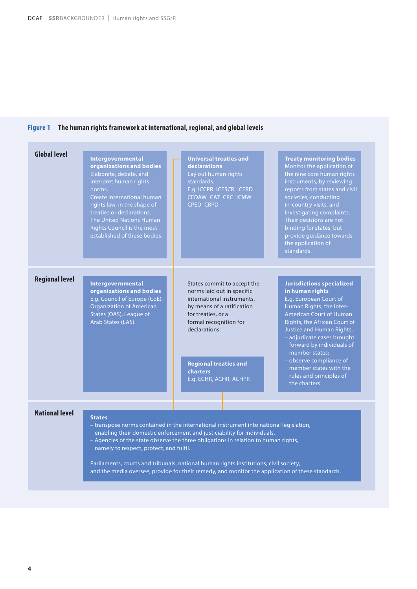# **Figure 1 The human rights framework at international, regional, and global levels**

| <b>Global level</b>   | Intergovernmental<br>organizations and bodies<br>Elaborate, debate, and<br>interpret human rights<br>norms.<br>Create international human<br>rights law, in the shape of<br>treaties or declarations.<br>The United Nations Human<br><b>Rights Council is the most</b><br>established of these bodies. | <b>Universal treaties and</b><br><b>declarations</b><br>Lay out human rights<br>standards.<br>E.g. ICCPR ICESCR ICERD<br>CEDAW CAT CRC ICMW<br><b>CPED CRPD</b>                                                                                              | <b>Treaty monitoring bodies</b><br>Monitor the application of<br>the nine core human rights<br>instruments, by reviewing<br>reports from states and civil<br>societies, conducting<br>in-country visits, and<br>investigating complaints.<br>Their decisions are not<br>binding for states, but<br>provide guidance towards<br>the application of<br>standards.                        |
|-----------------------|--------------------------------------------------------------------------------------------------------------------------------------------------------------------------------------------------------------------------------------------------------------------------------------------------------|--------------------------------------------------------------------------------------------------------------------------------------------------------------------------------------------------------------------------------------------------------------|----------------------------------------------------------------------------------------------------------------------------------------------------------------------------------------------------------------------------------------------------------------------------------------------------------------------------------------------------------------------------------------|
| <b>Regional level</b> | <b>Intergovernmental</b><br>organizations and bodies<br>E.g. Council of Europe (CoE),<br><b>Organization of American</b><br>States (OAS), League of<br>Arab States (LAS).                                                                                                                              | States commit to accept the<br>norms laid out in specific<br>international instruments,<br>by means of a ratification<br>for treaties, or a<br>formal recognition for<br>declarations.<br><b>Regional treaties and</b><br>charters<br>E.g. ECHR, ACHR, ACHPR | <b>Jurisdictions specialized</b><br>in human rights<br>E.g. European Court of<br>Human Rights, the Inter-<br><b>American Court of Human</b><br>Rights, the African Court of<br>Justice and Human Rights.<br>- adjudicate cases brought<br>forward by individuals of<br>member states:<br>- observe compliance of<br>member states with the<br>rules and principles of<br>the charters. |
| <b>National level</b> | <b>States</b><br>namely to respect, protect, and fulfil.                                                                                                                                                                                                                                               | - transpose norms contained in the international instrument into national legislation,<br>enabling their domestic enforcement and justiciability for individuals.<br>- Agencies of the state observe the three obligations in relation to human rights,      |                                                                                                                                                                                                                                                                                                                                                                                        |

Parliaments, courts and tribunals, national human rights institutions, civil society, and the media oversee, provide for their remedy, and monitor the application of these standards.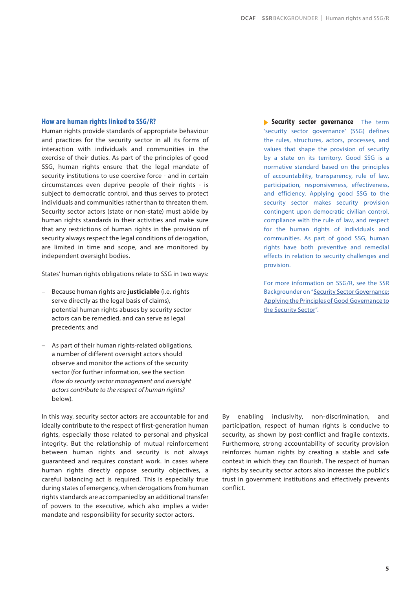#### **How are human rights linked to SSG/R?**

Human rights provide standards of appropriate behaviour and practices for the security sector in all its forms of interaction with individuals and communities in the exercise of their duties. As part of the principles of good SSG, human rights ensure that the legal mandate of security institutions to use coercive force - and in certain circumstances even deprive people of their rights - is subject to democratic control, and thus serves to protect individuals and communities rather than to threaten them. Security sector actors (state or non-state) must abide by human rights standards in their activities and make sure that any restrictions of human rights in the provision of security always respect the legal conditions of derogation, are limited in time and scope, and are monitored by independent oversight bodies.

States' human rights obligations relate to SSG in two ways:

- –Because human rights are **justiciable** (i.e. rights serve directly as the legal basis of claims), potential human rights abuses by security sector actors can be remedied, and can serve as legal precedents; and
- –As part of their human rights-related obligations, a number of different oversight actors should observe and monitor the actions of the security sector (for further information, see the section *How do security sector management and oversight actors contribute to the respect of human rights?*  below).

In this way, security sector actors are accountable for and ideally contribute to the respect of first-generation human rights, especially those related to personal and physical integrity. But the relationship of mutual reinforcement between human rights and security is not always guaranteed and requires constant work. In cases where human rights directly oppose security objectives, a careful balancing act is required. This is especially true during states of emergency, when derogations from human rights standards are accompanied by an additional transfer of powers to the executive, which also implies a wider mandate and responsibility for security sector actors.

**Security sector governance** The term 'security sector governance' (SSG) defines the rules, structures, actors, processes, and values that shape the provision of security by a state on its territory. Good SSG is a normative standard based on the principles of accountability, transparency, rule of law, participation, responsiveness, effectiveness, and efficiency. Applying good SSG to the security sector makes security provision contingent upon democratic civilian control, compliance with the rule of law, and respect for the human rights of individuals and communities. As part of good SSG, human rights have both preventive and remedial effects in relation to security challenges and provision.

For more information on SSG/R, see the SSR Backgrounder on "[Security Sector Governance:](https://www.dcaf.ch/sites/default/files/publications/documents/DCAF_BG_1_Security%20Sector%20Governance_0.pdf)  [Applying the Principles of Good Governance to](https://www.dcaf.ch/sites/default/files/publications/documents/DCAF_BG_1_Security%20Sector%20Governance_0.pdf)  [the Security Sector](https://www.dcaf.ch/sites/default/files/publications/documents/DCAF_BG_1_Security%20Sector%20Governance_0.pdf)".

By enabling inclusivity, non-discrimination, and participation, respect of human rights is conducive to security, as shown by post-conflict and fragile contexts. Furthermore, strong accountability of security provision reinforces human rights by creating a stable and safe context in which they can flourish. The respect of human rights by security sector actors also increases the public's trust in government institutions and effectively prevents conflict.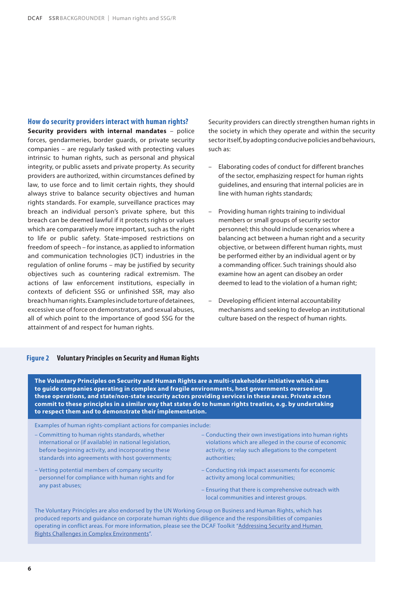#### **How do security providers interact with human rights?**

**Security providers with internal mandates** – police forces, gendarmeries, border guards, or private security companies – are regularly tasked with protecting values intrinsic to human rights, such as personal and physical integrity, or public assets and private property. As security providers are authorized, within circumstances defined by law, to use force and to limit certain rights, they should always strive to balance security objectives and human rights standards. For example, surveillance practices may breach an individual person's private sphere, but this breach can be deemed lawful if it protects rights or values which are comparatively more important, such as the right to life or public safety. State-imposed restrictions on freedom of speech – for instance, as applied to information and communication technologies (ICT) industries in the regulation of online forums – may be justified by security objectives such as countering radical extremism. The actions of law enforcement institutions, especially in contexts of deficient SSG or unfinished SSR, may also breach human rights. Examples include torture of detainees, excessive use of force on demonstrators, and sexual abuses, all of which point to the importance of good SSG for the attainment of and respect for human rights.

Security providers can directly strengthen human rights in the society in which they operate and within the security sector itself, by adopting conducive policies and behaviours, such as:

- –Elaborating codes of conduct for different branches of the sector, emphasizing respect for human rights guidelines, and ensuring that internal policies are in line with human rights standards;
- –Providing human rights training to individual members or small groups of security sector personnel; this should include scenarios where a balancing act between a human right and a security objective, or between different human rights, must be performed either by an individual agent or by a commanding officer. Such trainings should also examine how an agent can disobey an order deemed to lead to the violation of a human right;
- –Developing efficient internal accountability mechanisms and seeking to develop an institutional culture based on the respect of human rights.

#### **Figure 2 Voluntary Principles on Security and Human Rights**

**The Voluntary Principles on Security and Human Rights are a multi-stakeholder initiative which aims to guide companies operating in complex and fragile environments, host governments overseeing these operations, and state/non-state security actors providing services in these areas. Private actors commit to these principles in a similar way that states do to human rights treaties, e.g. by undertaking to respect them and to demonstrate their implementation.**

Examples of human rights-compliant actions for companies include:

- Committing to human rights standards, whether international or (if available) in national legislation, before beginning activity, and incorporating these standards into agreements with host governments;
- Vetting potential members of company security personnel for compliance with human rights and for any past abuses;
- Conducting their own investigations into human rights violations which are alleged in the course of economic activity, or relay such allegations to the competent authorities;
- Conducting risk impact assessments for economic activity among local communities;
- Ensuring that there is comprehensive outreach with local communities and interest groups.

The Voluntary Principles are also endorsed by the UN Working Group on Business and Human Rights, which has produced reports and guidance on corporate human rights due diligence and the responsibilities of companies operating in conflict areas. For more information, please see the DCAF Toolkit ["Addressing Security and Human](https://www.securityhumanrightshub.org/sites/default/files/2019-10/ASHRC_Toolkit_V3.pdf)  [Rights Challenges in Complex Environments"](https://www.securityhumanrightshub.org/sites/default/files/2019-10/ASHRC_Toolkit_V3.pdf).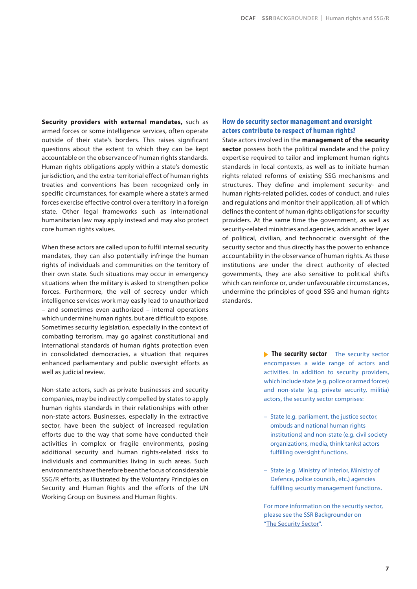**Security providers with external mandates,** such as armed forces or some intelligence services, often operate outside of their state's borders. This raises significant questions about the extent to which they can be kept accountable on the observance of human rights standards. Human rights obligations apply within a state's domestic jurisdiction, and the extra-territorial effect of human rights treaties and conventions has been recognized only in specific circumstances, for example where a state's armed forces exercise effective control over a territory in a foreign state. Other legal frameworks such as international humanitarian law may apply instead and may also protect core human rights values.

When these actors are called upon to fulfil internal security mandates, they can also potentially infringe the human rights of individuals and communities on the territory of their own state. Such situations may occur in emergency situations when the military is asked to strengthen police forces. Furthermore, the veil of secrecy under which intelligence services work may easily lead to unauthorized – and sometimes even authorized – internal operations which undermine human rights, but are difficult to expose. Sometimes security legislation, especially in the context of combating terrorism, may go against constitutional and international standards of human rights protection even in consolidated democracies, a situation that requires enhanced parliamentary and public oversight efforts as well as judicial review.

Non-state actors, such as private businesses and security companies, may be indirectly compelled by states to apply human rights standards in their relationships with other non-state actors. Businesses, especially in the extractive sector, have been the subject of increased regulation efforts due to the way that some have conducted their activities in complex or fragile environments, posing additional security and human rights-related risks to individuals and communities living in such areas. Such environments have therefore been the focus of considerable SSG/R efforts, as illustrated by the Voluntary Principles on Security and Human Rights and the efforts of the UN Working Group on Business and Human Rights.

## **How do security sector management and oversight actors contribute to respect of human rights?**

State actors involved in the **management of the security sector** possess both the political mandate and the policy expertise required to tailor and implement human rights standards in local contexts, as well as to initiate human rights-related reforms of existing SSG mechanisms and structures. They define and implement security- and human rights-related policies, codes of conduct, and rules and regulations and monitor their application, all of which defines the content of human rights obligations for security providers. At the same time the government, as well as security-related ministries and agencies, adds another layer of political, civilian, and technocratic oversight of the security sector and thus directly has the power to enhance accountability in the observance of human rights. As these institutions are under the direct authority of elected governments, they are also sensitive to political shifts which can reinforce or, under unfavourable circumstances, undermine the principles of good SSG and human rights standards.

> **The security sector** The security sector encompasses a wide range of actors and activities. In addition to security providers, which include state (e.g. police or armed forces) and non-state (e.g. private security, militia) actors, the security sector comprises:

- State (e.g. parliament, the justice sector, ombuds and national human rights institutions) and non-state (e.g. civil society organizations, media, think tanks) actors fulfilling oversight functions.
- State (e.g. Ministry of Interior, Ministry of Defence, police councils, etc.) agencies fulfilling security management functions.

For more information on the security sector, please see the SSR Backgrounder on "[The Security Sector"](https://www.dcaf.ch/sites/default/files/publications/documents/DCAF_BG_3_The%20Security%20Sector.pdf).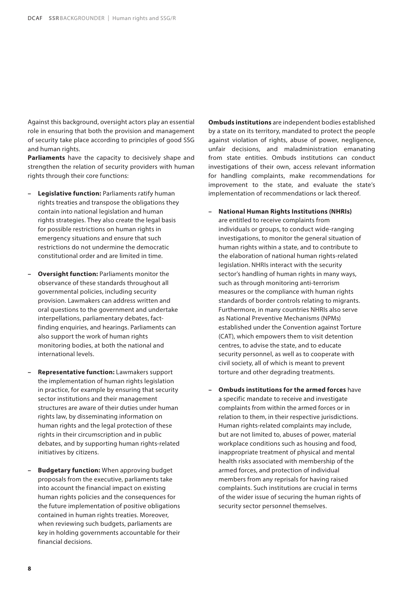Against this background, oversight actors play an essential role in ensuring that both the provision and management of security take place according to principles of good SSG and human rights.

**Parliaments** have the capacity to decisively shape and strengthen the relation of security providers with human rights through their core functions:

- **Legislative function:** Parliaments ratify human rights treaties and transpose the obligations they contain into national legislation and human rights strategies. They also create the legal basis for possible restrictions on human rights in emergency situations and ensure that such restrictions do not undermine the democratic constitutional order and are limited in time.
- **Oversight function:** Parliaments monitor the observance of these standards throughout all governmental policies, including security provision. Lawmakers can address written and oral questions to the government and undertake interpellations, parliamentary debates, factfinding enquiries, and hearings. Parliaments can also support the work of human rights monitoring bodies, at both the national and international levels.
- **Representative function:** Lawmakers support the implementation of human rights legislation in practice, for example by ensuring that security sector institutions and their management structures are aware of their duties under human rights law, by disseminating information on human rights and the legal protection of these rights in their circumscription and in public debates, and by supporting human rights-related initiatives by citizens.
- **Budgetary function:** When approving budget proposals from the executive, parliaments take into account the financial impact on existing human rights policies and the consequences for the future implementation of positive obligations contained in human rights treaties. Moreover, when reviewing such budgets, parliaments are key in holding governments accountable for their financial decisions.

**Ombuds institutions** are independent bodies established by a state on its territory, mandated to protect the people against violation of rights, abuse of power, negligence, unfair decisions, and maladministration emanating from state entities. Ombuds institutions can conduct investigations of their own, access relevant information for handling complaints, make recommendations for improvement to the state, and evaluate the state's implementation of recommendations or lack thereof.

- **National Human Rights Institutions (NHRIs)** are entitled to receive complaints from individuals or groups, to conduct wide-ranging investigations, to monitor the general situation of human rights within a state, and to contribute to the elaboration of national human rights-related legislation. NHRIs interact with the security sector's handling of human rights in many ways, such as through monitoring anti-terrorism measures or the compliance with human rights standards of border controls relating to migrants. Furthermore, in many countries NHRIs also serve as National Preventive Mechanisms (NPMs) established under the Convention against Torture (CAT), which empowers them to visit detention centres, to advise the state, and to educate security personnel, as well as to cooperate with civil society, all of which is meant to prevent torture and other degrading treatments.
- **Ombuds institutions for the armed forces** have a specific mandate to receive and investigate complaints from within the armed forces or in relation to them, in their respective jurisdictions. Human rights-related complaints may include, but are not limited to, abuses of power, material workplace conditions such as housing and food, inappropriate treatment of physical and mental health risks associated with membership of the armed forces, and protection of individual members from any reprisals for having raised complaints. Such institutions are crucial in terms of the wider issue of securing the human rights of security sector personnel themselves.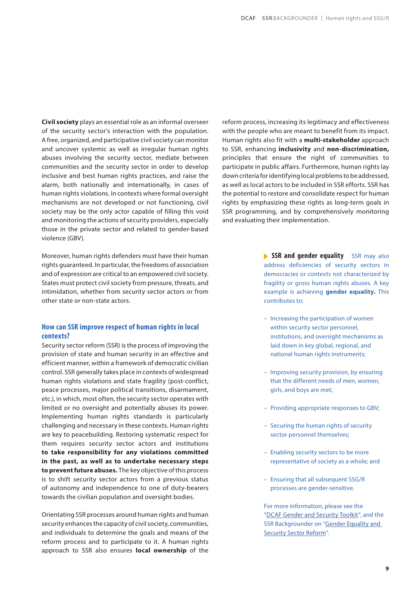**Civil society** plays an essential role as an informal overseer of the security sector's interaction with the population. A free, organized, and participative civil society can monitor and uncover systemic as well as irregular human rights abuses involving the security sector, mediate between communities and the security sector in order to develop inclusive and best human rights practices, and raise the alarm, both nationally and internationally, in cases of human rights violations. In contexts where formal oversight mechanisms are not developed or not functioning, civil society may be the only actor capable of filling this void and monitoring the actions of security providers, especially those in the private sector and related to gender-based violence (GBV).

Moreover, human rights defenders must have their human rights guaranteed. In particular, the freedoms of association and of expression are critical to an empowered civil society. States must protect civil society from pressure, threats, and intimidation, whether from security sector actors or from other state or non-state actors.

## **How can SSR improve respect of human rights in local contexts?**

Security sector reform (SSR) is the process of improving the provision of state and human security in an effective and efficient manner, within a framework of democratic civilian control. SSR generally takes place in contexts of widespread human rights violations and state fragility (post-conflict, peace processes, major political transitions, disarmament, etc.), in which, most often, the security sector operates with limited or no oversight and potentially abuses its power. Implementing human rights standards is particularly challenging and necessary in these contexts. Human rights are key to peacebuilding. Restoring systematic respect for them requires security sector actors and institutions **to take responsibility for any violations committed in the past, as well as to undertake necessary steps to prevent future abuses.** The key objective of this process is to shift security sector actors from a previous status of autonomy and independence to one of duty-bearers towards the civilian population and oversight bodies.

Orientating SSR processes around human rights and human security enhances the capacity of civil society, communities, and individuals to determine the goals and means of the reform process and to participate to it. A human rights approach to SSR also ensures **local ownership** of the

reform process, increasing its legitimacy and effectiveness with the people who are meant to benefit from its impact. Human rights also fit with a **multi-stakeholder** approach to SSR, enhancing **inclusivity** and **non-discrimination,**  principles that ensure the right of communities to participate in public affairs. Furthermore, human rights lay down criteria for identifying local problems to be addressed, as well as local actors to be included in SSR efforts. SSR has the potential to restore and consolidate respect for human rights by emphasizing these rights as long-term goals in SSR programming, and by comprehensively monitoring and evaluating their implementation.

> **SSR and gender equality** SSR may also address deficiencies of security sectors in democracies or contexts not characterized by fragility or gross human rights abuses. A key example is achieving **gender equality.** This contributes to:

- Increasing the participation of women within security sector personnel, institutions, and oversight mechanisms as laid down in key global, regional, and national human rights instruments;
- Improving security provision, by ensuring that the different needs of men, women, girls, and boys are met;
- Providing appropriate responses to GBV;
- Securing the human rights of security sector personnel themselves;
- Enabling security sectors to be more representative of society as a whole; and
- Ensuring that all subsequent SSG/R processes are gender-sensitive.

For more information, please see the ["DCAF Gender and Security Toolkit"](https://dcaf.ch/gender-and-security-toolkit), and the SSR Backgrounder on "[Gender Equality and](https://www.dcaf.ch/sites/default/files/publications/documents/DCAF_BG_5_Gender%20Equality%20and%20SSR.pdf)  [Security Sector Reform"](https://www.dcaf.ch/sites/default/files/publications/documents/DCAF_BG_5_Gender%20Equality%20and%20SSR.pdf).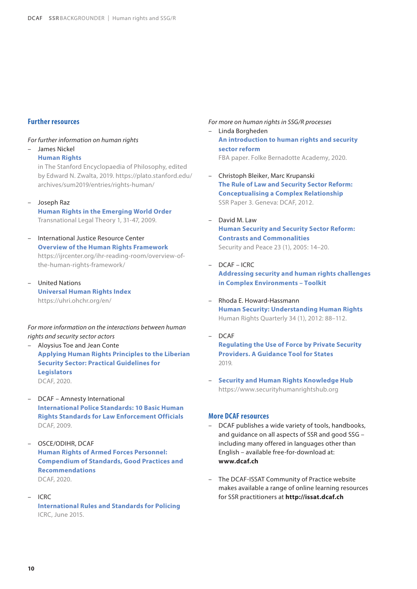# **Further resources**

#### *For further information on human rights*

– James Nickel

**Human Rights**

in The Stanford Encyclopaedia of Philosophy, edited by Edward N. Zwalta, 2019. https://plato.stanford.edu/ archives/sum2019/entries/rights-human/

#### – Joseph Raz

**Human Rights in the Emerging World Order** Transnational Legal Theory 1, 31-47, 2009.

- International Justice Resource Center **Overview of the Human Rights Framework** https://ijrcenter.org/ihr-reading-room/overview-ofthe-human-rights-framework/
- United Nations **Universal Human Rights Index** https://uhri.ohchr.org/en/

#### *For more information on the interactions between human rights and security sector actors*

- Aloysius Toe and Jean Conte **Applying Human Rights Principles to the Liberian Security Sector: Practical Guidelines for Legislators** DCAF, 2020.
- DCAF Amnesty International **International Police Standards: 10 Basic Human Rights Standards for Law Enforcement Officials** DCAF, 2009.
- OSCE/ODIHR, DCAF **Human Rights of Armed Forces Personnel: Compendium of Standards, Good Practices and Recommendations** DCAF, 2020.
- ICRC

**International Rules and Standards for Policing** ICRC, June 2015.

*For more on human rights in SSG/R processes* 

- Linda Borgheden **An introduction to human rights and security sector reform** FBA paper. Folke Bernadotte Academy, 2020.
- Christoph Bleiker, Marc Krupanski **The Rule of Law and Security Sector Reform: Conceptualising a Complex Relationship** SSR Paper 3. Geneva: DCAF, 2012.
- David M. Law **Human Security and Security Sector Reform: Contrasts and Commonalities** Security and Peace 23 (1), 2005: 14–20.
- DCAF ICRC **Addressing security and human rights challenges in Complex Environments – Toolkit**
- Rhoda E. Howard-Hassmann **Human Security: Understanding Human Rights** Human Rights Quarterly 34 (1), 2012: 88–112.
- DCAF **Regulating the Use of Force by Private Security Providers. A Guidance Tool for States** 2019.
- **Security and Human Rights Knowledge Hub** https://www.securityhumanrightshub.org

#### **More DCAF resources**

- DCAF publishes a wide variety of tools, handbooks, and guidance on all aspects of SSR and good SSG – including many offered in languages other than English – available free-for-download at: **www.dcaf.ch**
- The DCAF-ISSAT Community of Practice website makes available a range of online learning resources for SSR practitioners at **http://issat.dcaf.ch**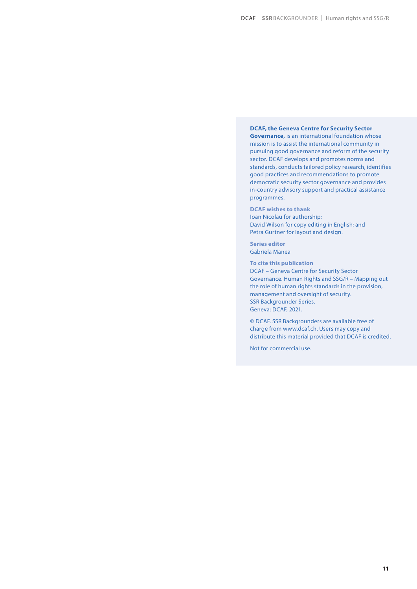**DCAF, the Geneva Centre for Security Sector Governance,** is an international foundation whose mission is to assist the international community in pursuing good governance and reform of the security sector. DCAF develops and promotes norms and standards, conducts tailored policy research, identifies good practices and recommendations to promote democratic security sector governance and provides in-country advisory support and practical assistance programmes.

**DCAF wishes to thank**  Ioan Nicolau for authorship; David Wilson for copy editing in English; and Petra Gurtner for layout and design.

**Series editor** Gabriela Manea

**To cite this publication** DCAF – Geneva Centre for Security Sector Governance. Human Rights and SSG/R – Mapping out the role of human rights standards in the provision, management and oversight of security. SSR Backgrounder Series. Geneva: DCAF, 2021.

© DCAF. SSR Backgrounders are available free of charge from www.dcaf.ch. Users may copy and distribute this material provided that DCAF is credited.

Not for commercial use.